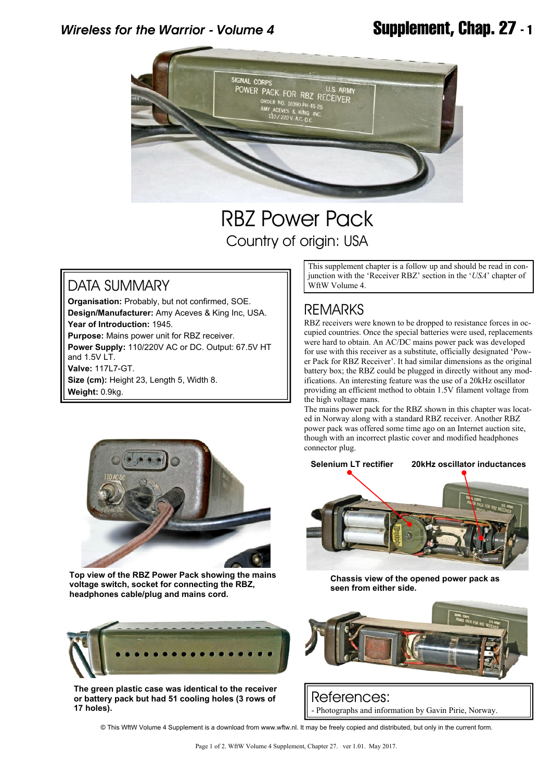# *Wireless for the Warrior - Volume 4* **Supplement, Chap. 27 - 1**



# RBZ Power Pack Country of origin: USA

### DATA SUMMARY

**Organisation:** Probably, but not confirmed, SOE. **Design/Manufacturer:** Amy Aceves & King Inc, USA. **Year of Introduction:** 1945. **Purpose:** Mains power unit for RBZ receiver. **Power Supply:** 110/220V AC or DC. Output: 67.5V HT and 1.5V LT. **Valve:** 117L7-GT.

**Size (cm):** Height 23, Length 5, Width 8. **Weight:** 0.9kg.

This supplement chapter is a follow up and should be read in conjunction with the 'Receiver RBZ' section in the '*USA*' chapter of WftW Volume 4.

## **REMARKS**

RBZ receivers were known to be dropped to resistance forces in occupied countries. Once the special batteries were used, replacements were hard to obtain. An AC/DC mains power pack was developed for use with this receiver as a substitute, officially designated 'Power Pack for RBZ Receiver'. It had similar dimensions as the original battery box; the RBZ could be plugged in directly without any modifications. An interesting feature was the use of a 20kHz oscillator providing an efficient method to obtain 1.5V filament voltage from the high voltage mans.

The mains power pack for the RBZ shown in this chapter was located in Norway along with a standard RBZ receiver. Another RBZ power pack was offered some time ago on an Internet auction site, though with an incorrect plastic cover and modified headphones connector plug.



**Top view of the RBZ Power Pack showing the mains voltage switch, socket for connecting the RBZ, headphones cable/plug and mains cord.**



**The green plastic case was identical to the receiver or battery pack but had 51 cooling holes (3 rows of 17 holes).**



**Chassis view of the opened power pack as seen from either side.**



References: - Photographs and information by Gavin Pirie, Norway.

© This WftW Volume 4 Supplement is a download from www.wftw.nl. It may be freely copied and distributed, but only in the current form.